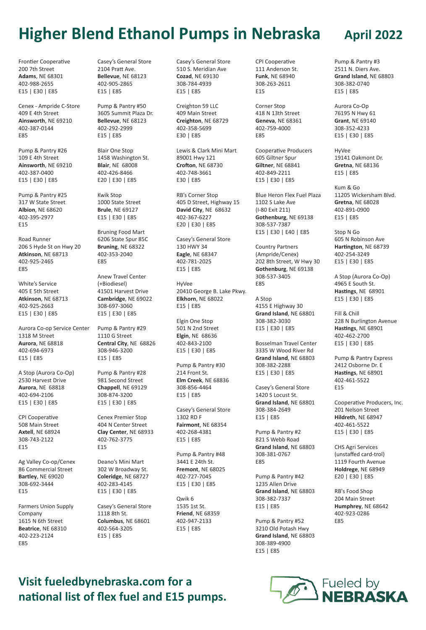## **Higher Blend Ethanol Pumps in Nebraska April 2022**

Frontier Cooperative 200 7th Street **Adams**, NE 68301 402-988-2655 E15 | E30 | E85

Cenex - Ampride C-Store 409 E 4th Street **Ainsworth**, NE 69210 402-387-0144 E85

Pump & Pantry #26 109 E 4th Street **Ainsworth**, NE 69210 402-387-0400 E15 | E30 | E85

Pump & Pantry #25 317 W State Street **Albion**, NE 68620 402-395-2977 E15

Road Runner 206 S Hyde St on Hwy 20 **Atkinson**, NE 68713 402-925-2465 E85

White's Service 405 E 5th Street **Atkinson**, NE 68713 402-925-2663 E15 | E30 | E85

Aurora Co-op Service Center 1318 M Street **Aurora**, NE 68818 402-694-6973 E15 | E85

A Stop (Aurora Co-Op) 2530 Harvest Drive **Aurora**, NE 68818 402-694-2106 E15 | E30 | E85

CPI Cooperative 508 Main Street **Axtell**, NE 68924 308-743-2122 E15

Ag Valley Co-op/Cenex

86 Commercial Street **Bartley**, NE 69020 308-692-3444 E15

Farmers Union Supply Company 1615 N 6th Street **Beatrice**, NE 68310 402-223-2124 E85

Casey's General Store 2104 Pratt Ave. **Bellevue**, NE 68123 402-905-2865 E15 | E85

Pump & Pantry #50 3605 Summit Plaza Dr. **Bellevue**, NE 68123 402-292-2999 E15 | E85

Blair One Stop 1458 Washington St. **Blair**, NE 68008 402-426-8466 E20 | E30 | E85

Kwik Stop 1000 State Street **Brule**, NE 69127 E15 | E30 | E85

Bruning Food Mart 6206 State Spur 85C **Bruning**, NE 68322 402-353-2040 E85

Anew Travel Center (+Biodiesel) 41501 Harvest Drive **Cambridge**, NE 69022 308-697-3060 E15 | E30 | E85

Pump & Pantry #29 1110 G Street **Central City**, NE 68826 308-946-3200 E15 | E85

Pump & Pantry #28 981 Second Street **Chappell**, NE 69129 308-874-3200 E15 | E30 | E85

Cenex Premier Stop 404 N Center Street **Clay Center**, NE 68933 402-762-3775 E15

Deano's Mini Mart 302 W Broadway St. **Coleridge**, NE 68727 402-283-4145 E15 | E30 | E85

Casey's General Store 1118 8th St. **Columbus**, NE 68601 402-564-3205 E15 | E85

Casey's General Store 510 S. Meridian Ave **Cozad**, NE 69130 308-784-4939 E15 | E85

Creighton 59 LLC 409 Main Street **Creighton**, NE 68729 402-358-5699 E30 | E85

Lewis & Clark Mini Mart 89001 Hwy 121 **Crofton**, NE 68730 402-748-3661 E30 | E85

RB's Corner Stop 405 D Street, Highway 15 **David City**, NE 68632 402-367-6227 E20 | E30 | E85

Casey's General Store 130 HWY 34 **Eagle**, NE 68347 402-781-2025 E15 | E85

HyVee 20410 George B. Lake Pkwy. **Elkhorn**, NE 68022 E15 | E85

Elgin One Stop 501 N 2nd Street **Elgin**, NE 68636 402-843-2100 E15 | E30 | E85

Pump & Pantry #30 214 Front St. **Elm Creek**, NE 68836 308-856-4464 E15 | E85

Casey's General Store 1302 RD F **Fairmont**, NE 68354 402-268-4381 E15 | E85

Pump & Pantry #48 3441 E 24th St. **Fremont**, NE 68025 402-727-7045 E15 | E30 | E85

Qwik 6 1535 1st St. **Friend**, NE 68359 402-947-2133 E15 | E85

CPI Cooperative 111 Anderson St. **Funk**, NE 68940 308-263-2611 E15

Corner Stop 418 N 13th Street **Geneva**, NE 68361 402-759-4000 E85

Cooperative Producers 605 Giltner Spur **Giltner**, NE 68841 402-849-2211 E15 | E30 | E85

Blue Heron Flex Fuel Plaza 1102 S Lake Ave (I-80 Exit 211) **Gothenburg**, NE 69138 308-537-7387 E15 | E30 | E40 | E85

Country Partners (Ampride/Cenex) 202 8th Street, W Hwy 30 **Gothenburg**, NE 69138 308-537-3405 E85

A Stop 4155 E Highway 30 **Grand Island**, NE 68801 308-382-3030 E15 | E30 | E85

Bosselman Travel Center 3335 W Wood River Rd **Grand Island**, NE 68803 308-382-2288 E15 | E30 | E85

Casey's General Store 1420 S Locust St. **Grand Island**, NE 68801 308-384-2649 E15 | E85

Pump & Pantry #2 821 S Webb Road **Grand Island**, NE 68803 308-381-0767 E85

Pump & Pantry #42 1235 Allen Drive **Grand Island**, NE 68803 308-382-7337 E15 | E85

Pump & Pantry #52 3210 Old Potash Hwy **Grand Island**, NE 68803 308-389-4900 E15 | E85

Pump & Pantry #3 2511 N. Diers Ave. **Grand Island**, NE 68803 308-382-0740 E15 | E85

Aurora Co-Op 76195 N Hwy 61 **Grant**, NE 69140 308-352-4233 E15 | E30 | E85

HyVee 19141 Oakmont Dr. **Gretna**, NE 68136 E15 | E85

Kum & Go 11205 Wickersham Blvd. **Gretna**, NE 68028 402-891-0900 E15 | E85

Stop N Go 605 N Robinson Ave **Hartington**, NE 68739 402-254-3249 E15 | E30 | E85

A Stop (Aurora Co-Op) 4965 E South St. **Hastings**, NE 68901 E15 | E30 | E85

Fill & Chill 228 N Burlington Avenue **Hastings**, NE 68901 402-462-2700 E15 | E30 | E85

Pump & Pantry Express 2412 Osborne Dr. E **Hastings**, NE 68901 402-461-5522 E15

Cooperative Producers, Inc. 201 Nelson Street **Hildreth**, NE 68947 402-461-5522 E15 | E30 | E85

CHS Agri Services (unstaffed card-trol) 1119 Fourth Avenue **Holdrege**, NE 68949 E20 | E30 | E85

RB's Food Shop 204 Main Street **Humphrey**, NE 68642 402-923-0286 E85

## **Visit fueledbynebraska.com for a national list of flex fuel and E15 pumps.**

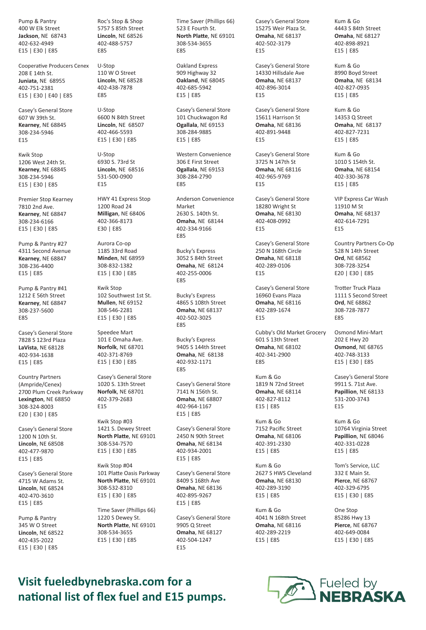Pump & Pantry 400 W Elk Street **Jackson**, NE 68743 402-632-4949 E15 | E30 | E85

Cooperative Producers Cenex 208 E 14th St. **Juniata**, NE 68955 402-751-2381 E15 | E30 | E40 | E85

Casey's General Store 607 W 39th St. **Kearney**, NE 68845 308-234-5946 E15

Kwik Stop 1206 West 24th St. **Kearney**, NE 68845 308-234-5946 E15 | E30 | E85

Premier Stop Kearney 7810 2nd Ave. **Kearney**, NE 68847 308-234-6166 E15 | E30 | E85

Pump & Pantry #27 4311 Second Avenue **Kearney**, NE 68847 308-236-4400 E15 | E85

Pump & Pantry #41 1212 E 56th Street **Kearney**, NE 68847 308-237-5600 E85

Casey's General Store 7828 S 123rd Plaza **LaVista**, NE 68128 402-934-1638 E15 | E85

Country Partners (Ampride/Cenex) 2700 Plum Creek Parkway **Lexington**, NE 68850 308-324-8003 E20 | E30 | E85

Casey's General Store 1200 N 10th St. **Lincoln**, NE 68508 402-477-9870 E15 | E85

Casey's General Store 4715 W Adams St. **Lincoln**, NE 68524 402-470-3610 E15 | E85

Pump & Pantry 345 W O Street **Lincoln**, NE 68522 402-435-2022 E15 | E30 | E85

Roc's Stop & Shop 5757 S 85th Street **Lincoln**, NE 68526 402-488-5757 E85

U-Stop 110 W O Street **Lincoln**, NE 68528 402-438-7878 E85

U-Stop 6600 N 84th Street **Lincoln**, NE 68507 402-466-5593 E15 | E30 | E85

U-Stop 6930 S. 73rd St **Lincoln**, NE 68516 531-500-0900 E15

HWY 41 Express Stop 1200 Road 24 **Milligan**, NE 68406 402-366-8173 E30 | E85

Aurora Co-op 1185 33rd Road **Minden**, NE 68959 308-832-1382 E15 | E30 | E85

Kwik Stop 102 Southwest 1st St. **Mullen**, NE 69152 308-546-2281 E15 | E30 | E85

Speedee Mart 101 E Omaha Ave. **Norfolk**, NE 68701 402-371-8769 E15 | E30 | E85

Casey's General Store 1020 S. 13th Street **Norfolk**, NE 68701 402-379-2683 E15

Kwik Stop #03 1421 S. Dewey Street **North Platte**, NE 69101 308-534-7570 E15 | E30 | E85

Kwik Stop #04 101 Platte Oasis Parkway **North Platte**, NE 69101 308-532-8310 E15 | E30 | E85 Time Saver (Phillips 66) 1220 S Dewey St. **North Platte**, NE 69101

308-534-3655 E15 | E30 | E85 Time Saver (Phillips 66) 523 E Fourth St. **North Platte**, NE 69101 308-534-3655 E85

Oakland Express 909 Highway 32 **Oakland**, NE 68045 402-685-5942 E15 | E85

Casey's General Store 101 Chuckwagon Rd **Ogallala**, NE 69153 308-284-9885 E15 | E85

Western Convenience 306 E First Street **Ogallala**, NE 69153 308-284-2790 E85

Anderson Convenience Market 2630 S. 140th St. **Omaha**, NE 68144 402-334-9166 E85

Bucky's Express 3052 S 84th Street **Omaha**, NE 68124 402-255-0006 E85

Bucky's Express 4865 S 108th Street **Omaha**, NE 68137 402-502-3025 E85

Bucky's Express 9405 S 144th Street **Omaha**, NE 68138 402-932-1171 E85

Casey's General Store 7141 N 156th St. **Omaha**, NE 68807 402-964-1167 E15 | E85

Casey's General Store 2450 N 90th Street **Omaha**, NE 68134 402-934-2001 E15 | E85

Casey's General Store 8409 S 168th Ave **Omaha**, NE 68136 402-895-9267 E15 | E85

Casey's General Store 9905 Q Street **Omaha**, NE 68127 402-504-1247 E15

Casey's General Store 15275 Weir Plaza St. **Omaha**, NE 68137 402-502-3179 E15

Casey's General Store 14330 Hillsdale Ave **Omaha**, NE 68137 402-896-3014 E15

Casey's General Store 15611 Harrison St **Omaha**, NE 68136 402-891-9448 E15

Casey's General Store 3725 N 147th St **Omaha**, NE 68116 402-965-9769 E15

Casey's General Store 18280 Wright St **Omaha**, NE 68130 402-408-0992 E15

Casey's General Store 250 N 168th Circle **Omaha**, NE 68118 402-289-0106 E15

Casey's General Store 16960 Evans Plaza **Omaha**, NE 68116 402-289-1674 E15

Cubby's Old Market Grocery 601 S 13th Street **Omaha**, NE 68102 402-341-2900 E85

Kum & Go 1819 N 72nd Street **Omaha**, NE 68114 402-827-8112 E15 | E85

Kum & Go 7152 Pacific Street **Omaha**, NE 68106 402-391-2330 E15 | E85

Kum & Go 2627 S HWS Cleveland **Omaha**, NE 68130 402-289-3190 E15 | E85

Kum & Go 4041 N 168th Street **Omaha**, NE 68116 402-289-2219 E15 | E85

Kum & Go 4443 S 84th Street **Omaha**, NE 68127 402-898-8921 E15 | E85

Kum & Go 8990 Boyd Street **Omaha**, NE 68134 402-827-0935 E15 | E85

Kum & Go 14353 Q Street **Omaha**, NE 68137 402-827-7231 E15 | E85

Kum & Go 1010 S 154th St. **Omaha**, NE 68154 402-330-3678 E15 | E85

VIP Express Car Wash 11910 M St **Omaha**, NE 68137 402-614-7291 E15

Country Partners Co-Op 528 N 14th Street **Ord**, NE 68562 308-728-3254 E20 | E30 | E85

Trotter Truck Plaza 1111 S Second Street **Ord**, NE 68862 308-728-7877 E85

Osmond Mini-Mart 202 E Hwy 20 **Osmond**, NE 68765 402-748-3133 E15 | E30 | E85

Casey's General Store 9911 S. 71st Ave. **Papillion**, NE 68133 531-200-3743 E15

Kum & Go 10764 Virginia Street **Papillion**, NE 68046 402-331-0228 E15 | E85

Tom's Service, LLC 332 E Main St. **Pierce**, NE 68767 402-329-6795 E15 | E30 | E85

One Stop 85286 Hwy 13 **Pierce**, NE 68767 402-649-0084 E15 | E30 | E85

**Visit fueledbynebraska.com for a national list of flex fuel and E15 pumps.**